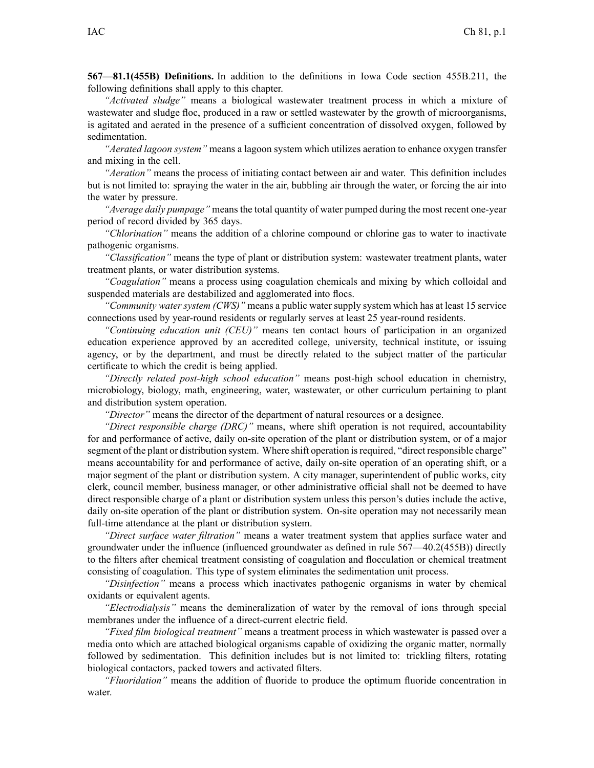**567—81.1(455B) Definitions.** In addition to the definitions in Iowa Code section 455B.211, the following definitions shall apply to this chapter.

*"Activated sludge"* means <sup>a</sup> biological wastewater treatment process in which <sup>a</sup> mixture of wastewater and sludge floc, produced in <sup>a</sup> raw or settled wastewater by the growth of microorganisms, is agitated and aerated in the presence of <sup>a</sup> sufficient concentration of dissolved oxygen, followed by sedimentation.

*"Aerated lagoon system"* means <sup>a</sup> lagoon system which utilizes aeration to enhance oxygen transfer and mixing in the cell.

*"Aeration"* means the process of initiating contact between air and water. This definition includes but is not limited to: spraying the water in the air, bubbling air through the water, or forcing the air into the water by pressure.

*"Average daily pumpage"* means the total quantity of water pumped during the most recent one-year period of record divided by 365 days.

*"Chlorination"* means the addition of <sup>a</sup> chlorine compound or chlorine gas to water to inactivate pathogenic organisms.

*"Classification"* means the type of plant or distribution system: wastewater treatment plants, water treatment plants, or water distribution systems.

*"Coagulation"* means <sup>a</sup> process using coagulation chemicals and mixing by which colloidal and suspended materials are destabilized and agglomerated into flocs.

*"Community water system (CWS)"* means <sup>a</sup> public water supply system which has at least 15 service connections used by year-round residents or regularly serves at least 25 year-round residents.

*"Continuing education unit (CEU)"* means ten contact hours of participation in an organized education experience approved by an accredited college, university, technical institute, or issuing agency, or by the department, and must be directly related to the subject matter of the particular certificate to which the credit is being applied.

*"Directly related post-high school education"* means post-high school education in chemistry, microbiology, biology, math, engineering, water, wastewater, or other curriculum pertaining to plant and distribution system operation.

*"Director"* means the director of the department of natural resources or <sup>a</sup> designee.

*"Direct responsible charge (DRC)"* means, where shift operation is not required, accountability for and performance of active, daily on-site operation of the plant or distribution system, or of <sup>a</sup> major segment of the plant or distribution system. Where shift operation is required, "direct responsible charge" means accountability for and performance of active, daily on-site operation of an operating shift, or <sup>a</sup> major segmen<sup>t</sup> of the plant or distribution system. A city manager, superintendent of public works, city clerk, council member, business manager, or other administrative official shall not be deemed to have direct responsible charge of <sup>a</sup> plant or distribution system unless this person's duties include the active, daily on-site operation of the plant or distribution system. On-site operation may not necessarily mean full-time attendance at the plant or distribution system.

*"Direct surface water filtration"* means <sup>a</sup> water treatment system that applies surface water and groundwater under the influence (influenced groundwater as defined in rule 567—40.2(455B)) directly to the filters after chemical treatment consisting of coagulation and flocculation or chemical treatment consisting of coagulation. This type of system eliminates the sedimentation unit process.

*"Disinfection"* means <sup>a</sup> process which inactivates pathogenic organisms in water by chemical oxidants or equivalent agents.

*"Electrodialysis"* means the demineralization of water by the removal of ions through special membranes under the influence of <sup>a</sup> direct-current electric field.

*"Fixed film biological treatment"* means <sup>a</sup> treatment process in which wastewater is passed over <sup>a</sup> media onto which are attached biological organisms capable of oxidizing the organic matter, normally followed by sedimentation. This definition includes but is not limited to: trickling filters, rotating biological contactors, packed towers and activated filters.

*"Fluoridation"* means the addition of fluoride to produce the optimum fluoride concentration in water.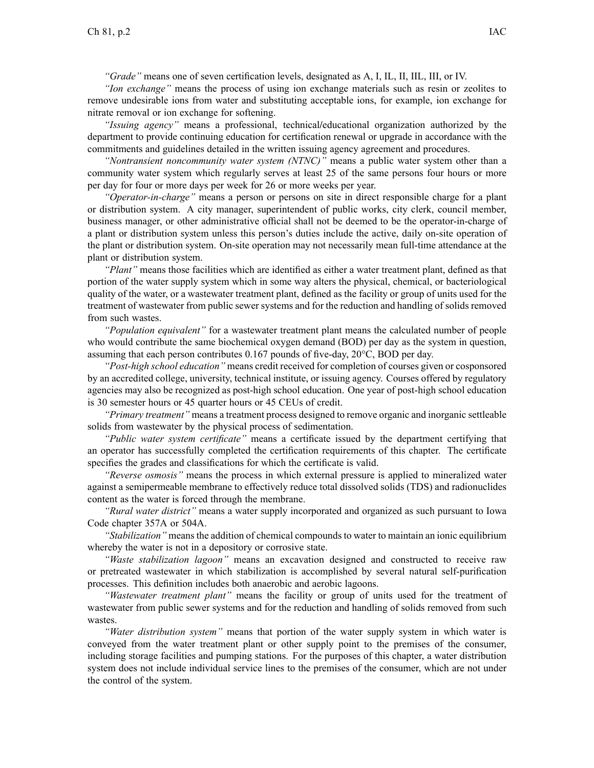*"Grade"* means one of seven certification levels, designated as A, I, IL, II, IIL, III, or IV.

*"Ion exchange"* means the process of using ion exchange materials such as resin or zeolites to remove undesirable ions from water and substituting acceptable ions, for example, ion exchange for nitrate removal or ion exchange for softening.

*"Issuing agency"* means <sup>a</sup> professional, technical**/**educational organization authorized by the department to provide continuing education for certification renewal or upgrade in accordance with the commitments and guidelines detailed in the written issuing agency agreemen<sup>t</sup> and procedures.

*"Nontransient noncommunity water system (NTNC)"* means <sup>a</sup> public water system other than <sup>a</sup> community water system which regularly serves at least 25 of the same persons four hours or more per day for four or more days per week for 26 or more weeks per year.

*"Operator-in-charge"* means <sup>a</sup> person or persons on site in direct responsible charge for <sup>a</sup> plant or distribution system. A city manager, superintendent of public works, city clerk, council member, business manager, or other administrative official shall not be deemed to be the operator-in-charge of <sup>a</sup> plant or distribution system unless this person's duties include the active, daily on-site operation of the plant or distribution system. On-site operation may not necessarily mean full-time attendance at the plant or distribution system.

*"Plant"* means those facilities which are identified as either <sup>a</sup> water treatment plant, defined as that portion of the water supply system which in some way alters the physical, chemical, or bacteriological quality of the water, or <sup>a</sup> wastewater treatment plant, defined as the facility or group of units used for the treatment of wastewater from public sewer systems and for the reduction and handling of solids removed from such wastes.

*"Population equivalent"* for <sup>a</sup> wastewater treatment plant means the calculated number of people who would contribute the same biochemical oxygen demand (BOD) per day as the system in question, assuming that each person contributes 0.167 pounds of five-day, 20°C, BOD per day.

*"Post-high school education"* means credit received for completion of courses given or cosponsored by an accredited college, university, technical institute, or issuing agency. Courses offered by regulatory agencies may also be recognized as post-high school education. One year of post-high school education is 30 semester hours or 45 quarter hours or 45 CEUs of credit.

*"Primary treatment"* means <sup>a</sup> treatment process designed to remove organic and inorganic settleable solids from wastewater by the physical process of sedimentation.

*"Public water system certificate"* means <sup>a</sup> certificate issued by the department certifying that an operator has successfully completed the certification requirements of this chapter. The certificate specifies the grades and classifications for which the certificate is valid.

*"Reverse osmosis"* means the process in which external pressure is applied to mineralized water against <sup>a</sup> semipermeable membrane to effectively reduce total dissolved solids (TDS) and radionuclides content as the water is forced through the membrane.

*"Rural water district"* means <sup>a</sup> water supply incorporated and organized as such pursuan<sup>t</sup> to Iowa Code chapter 357A or 504A.

"*Stabilization*" means the addition of chemical compounds to water to maintain an ionic equilibrium whereby the water is not in <sup>a</sup> depository or corrosive state.

*"Waste stabilization lagoon"* means an excavation designed and constructed to receive raw or pretreated wastewater in which stabilization is accomplished by several natural self-purification processes. This definition includes both anaerobic and aerobic lagoons.

*"Wastewater treatment plant"* means the facility or group of units used for the treatment of wastewater from public sewer systems and for the reduction and handling of solids removed from such wastes.

*"Water distribution system"* means that portion of the water supply system in which water is conveyed from the water treatment plant or other supply point to the premises of the consumer, including storage facilities and pumping stations. For the purposes of this chapter, <sup>a</sup> water distribution system does not include individual service lines to the premises of the consumer, which are not under the control of the system.